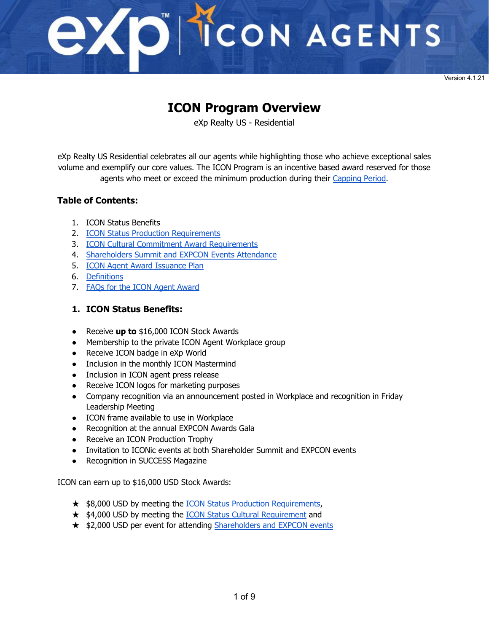

Version 4.1.21

### **ICON Program Overview**

eXp Realty US - Residential

eXp Realty US Residential celebrates all our agents while highlighting those who achieve exceptional sales volume and exemplify our core values. The ICON Program is an incentive based award reserved for those agents who meet or exceed the minimum production during their [Capping](#page-6-0) Period.

#### **Table of Contents:**

- 1. ICON Status Benefits
- 2. ICON Status Production [Requirements](#page-1-0)
- 3. ICON Cultural Commitment Award [Requirements](#page-3-0)
- 4. [Shareholders](#page-4-0) Summit and EXPCON Events Attendance
- 5. ICON Agent Award [Issuance](#page-5-0) Plan
- 6. [Definitions](#page-6-0)
- 7. FAQs for the ICON Agent [Award](#page-7-0)

#### **1. ICON Status Benefits:**

- Receive **up to** \$16,000 ICON Stock Awards
- Membership to the private ICON Agent Workplace group
- Receive ICON badge in eXp World
- Inclusion in the monthly ICON Mastermind
- Inclusion in ICON agent press release
- Receive ICON logos for marketing purposes
- Company recognition via an announcement posted in Workplace and recognition in Friday Leadership Meeting
- ICON frame available to use in Workplace
- Recognition at the annual EXPCON Awards Gala
- Receive an ICON Production Trophy
- Invitation to ICONic events at both Shareholder Summit and EXPCON events
- Recognition in SUCCESS Magazine

ICON can earn up to \$16,000 USD Stock Awards:

- ★ \$8,000 USD by meeting the **ICON Status Production Requirements**,
- ★ \$4,000 USD by meeting the **ICON Status Cultural [Requirement](#page-3-0)** and
- ★ \$2,000 USD per event for attending [Shareholders](#page-4-0) and EXPCON events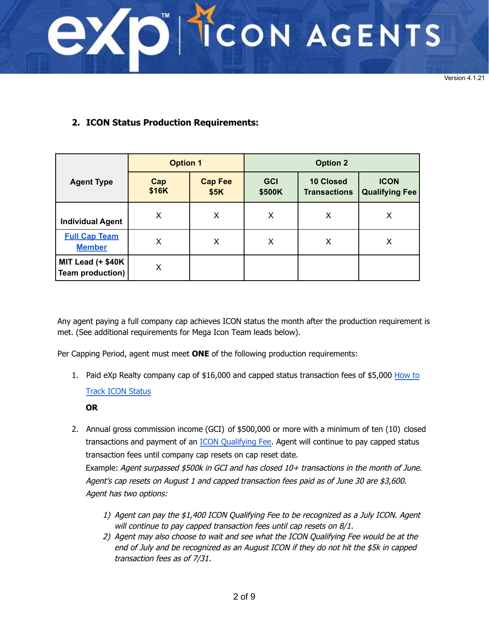<span id="page-1-0"></span>

Version 4.1.21

#### **2. ICON Status Production Requirements:**

|                                              | <b>Option 1</b> |                        | <b>Option 2</b>      |                                         |                                      |
|----------------------------------------------|-----------------|------------------------|----------------------|-----------------------------------------|--------------------------------------|
| <b>Agent Type</b>                            | Cap<br>\$16K    | <b>Cap Fee</b><br>\$5K | <b>GCI</b><br>\$500K | <b>10 Closed</b><br><b>Transactions</b> | <b>ICON</b><br><b>Qualifying Fee</b> |
| <b>Individual Agent</b>                      | X               | X                      | X                    | X                                       | X                                    |
| <b>Full Cap Team</b><br><b>Member</b>        | X               | X                      | Х                    | х                                       | Х                                    |
| MIT Lead (+ \$40K<br><b>Team production)</b> | Х               |                        |                      |                                         |                                      |

Any agent paying a full company cap achieves ICON status the month after the production requirement is met. (See additional requirements for Mega Icon Team leads below).

Per Capping Period, agent must meet **ONE** of the following production requirements:

1. [Paid eXp Realty company cap of \\$16,000 and capped](https://drive.google.com/file/d/1nm8fjExDYFvYCVYkn3QJlX84F8mZwxsi/view?usp=sharing) status transaction fees of \$5,000 How to

#### Track ICON Status

#### **OR**

- 2. Annual gross commission income (GCI) of \$500,000 or more with a minimum of ten (10) closed transactions and payment of an [ICON Qualifying Fee.](#page-6-0) Agent will continue to pay capped status transaction fees until company cap resets on cap reset date. Example: Agent surpassed \$500k in GCI and has closed 10+ transactions in the month of June. Agent's cap resets on August 1 and capped transaction fees paid as of June 30 are \$3,600. Agent has two options:
	- 1) Agent can pay the \$1,400 ICON Qualifying Fee to be recognized as a July ICON. Agent will continue to pay capped transaction fees until cap resets on 8/1.
	- 2) Agent may also choose to wait and see what the ICON Qualifying Fee would be at the end of July and be recognized as an August ICON if they do not hit the \$5k in capped transaction fees as of 7/31.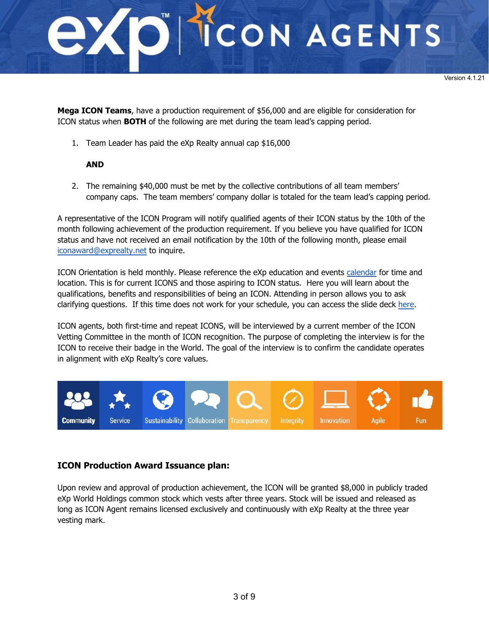

**Mega ICON Teams**, have a production requirement of \$56,000 and are eligible for consideration for ICON status when **BOTH** of the following are met during the team lead's capping period.

1. Team Leader has paid the eXp Realty annual cap \$16,000

#### **AND**

2. The remaining \$40,000 must be met by the collective contributions of all team members' company caps. The team members' company dollar is totaled for the team lead's capping period.

A representative of the ICON Program will notify qualified agents of their ICON status by the 10th of the month following achievement of the production requirement. If you believe you have qualified for ICON status and have not received an email notification by the 10th of the following month, please email [iconaward@exprealty.net](mailto:iconaward@exprealty.net) to inquire.

ICON Orientation is held monthly. Please reference the eXp education and events [calendar](https://expcloud.com/) for time and location. This is for current ICONS and those aspiring to ICON status. Here you will learn about the qualifications, benefits and responsibilities of being an ICON. Attending in person allows you to ask clarifying questions. If this time does not work for your schedule, you can access the slide deck [here.](https://drive.google.com/file/d/1eOCZvJqhw3zw_zwSt2MV-2tqbWZquavx/view?usp=sharing)

ICON agents, both first-time and repeat ICONS, will be interviewed by a current member of the ICON Vetting Committee in the month of ICON recognition. The purpose of completing the interview is for the ICON to receive their badge in the World. The goal of the interview is to confirm the candidate operates in alignment with eXp Realty's core values.



#### **ICON Production Award Issuance plan:**

Upon review and approval of production achievement, the ICON will be granted \$8,000 in publicly traded eXp World Holdings common stock which vests after three years. Stock will be issued and released as long as ICON Agent remains licensed exclusively and continuously with eXp Realty at the three year vesting mark.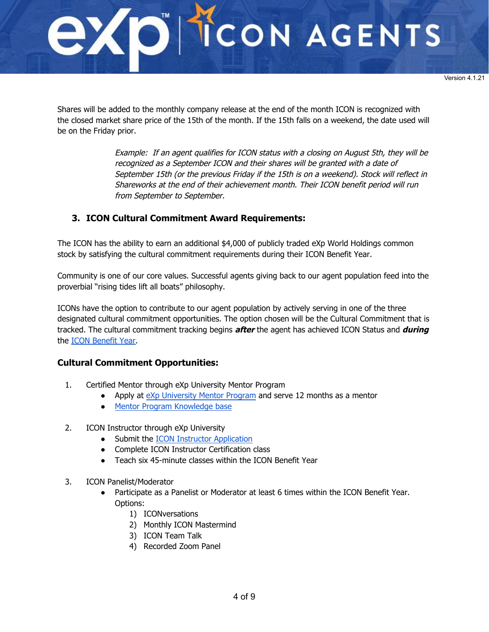<span id="page-3-0"></span>

Shares will be added to the monthly company release at the end of the month ICON is recognized with the closed market share price of the 15th of the month. If the 15th falls on a weekend, the date used will be on the Friday prior.

> Example: If an agent qualifies for ICON status with a closing on August 5th, they will be recognized as a September ICON and their shares will be granted with a date of September 15th (or the previous Friday if the 15th is on a weekend). Stock will reflect in Shareworks at the end of their achievement month. Their ICON benefit period will run from September to September.

#### **3. ICON Cultural Commitment Award Requirements:**

The ICON has the ability to earn an additional \$4,000 of publicly traded eXp World Holdings common stock by satisfying the cultural commitment requirements during their ICON Benefit Year.

Community is one of our core values. Successful agents giving back to our agent population feed into the proverbial "rising tides lift all boats" philosophy.

ICONs have the option to contribute to our agent population by actively serving in one of the three designated cultural commitment opportunities. The option chosen will be the Cultural Commitment that is tracked. The cultural commitment tracking begins **after** the agent has achieved ICON Status and **during** the [ICON Benefit Year.](#page-6-0)

#### **Cultural Commitment Opportunities:**

- 1. Certified Mentor through eXp University Mentor Program
	- Apply at [eXp University Mentor Program](https://expand.expenterprise.com/) and serve 12 months as a mentor
	- [Mentor Program Knowledge base](https://support.expcloud.com/portal/en/kb/expuniversitymentorprogram)
- 2. ICON Instructor through eXp University
	- Submit the **ICON** Instructor Application
	- Complete ICON Instructor Certification class
	- Teach six 45-minute classes within the ICON Benefit Year
- 3. ICON Panelist/Moderator
	- Participate as a Panelist or Moderator at least 6 times within the ICON Benefit Year. Options:
		- 1) ICONversations
		- 2) Monthly ICON Mastermind
		- 3) ICON Team Talk
		- 4) Recorded Zoom Panel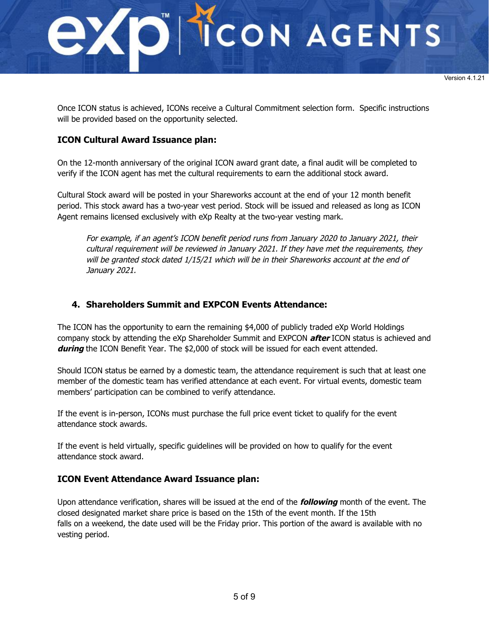<span id="page-4-0"></span>

Once ICON status is achieved, ICONs receive a Cultural Commitment selection form. Specific instructions will be provided based on the opportunity selected.

#### **ICON Cultural Award Issuance plan:**

On the 12-month anniversary of the original ICON award grant date, a final audit will be completed to verify if the ICON agent has met the cultural requirements to earn the additional stock award.

Cultural Stock award will be posted in your Shareworks account at the end of your 12 month benefit period. This stock award has a two-year vest period. Stock will be issued and released as long as ICON Agent remains licensed exclusively with eXp Realty at the two-year vesting mark.

For example, if an agent's ICON benefit period runs from January 2020 to January 2021, their cultural requirement will be reviewed in January 2021. If they have met the requirements, they will be granted stock dated 1/15/21 which will be in their Shareworks account at the end of January 2021.

#### **4. Shareholders Summit and EXPCON Events Attendance:**

The ICON has the opportunity to earn the remaining \$4,000 of publicly traded eXp World Holdings company stock by attending the eXp Shareholder Summit and EXPCON **after** ICON status is achieved and **during** the ICON Benefit Year. The \$2,000 of stock will be issued for each event attended.

Should ICON status be earned by a domestic team, the attendance requirement is such that at least one member of the domestic team has verified attendance at each event. For virtual events, domestic team members' participation can be combined to verify attendance.

If the event is in-person, ICONs must purchase the full price event ticket to qualify for the event attendance stock awards.

If the event is held virtually, specific guidelines will be provided on how to qualify for the event attendance stock award.

#### **ICON Event Attendance Award Issuance plan:**

Upon attendance verification, shares will be issued at the end of the **following** month of the event. The closed designated market share price is based on the 15th of the event month. If the 15th falls on a weekend, the date used will be the Friday prior. This portion of the award is available with no vesting period.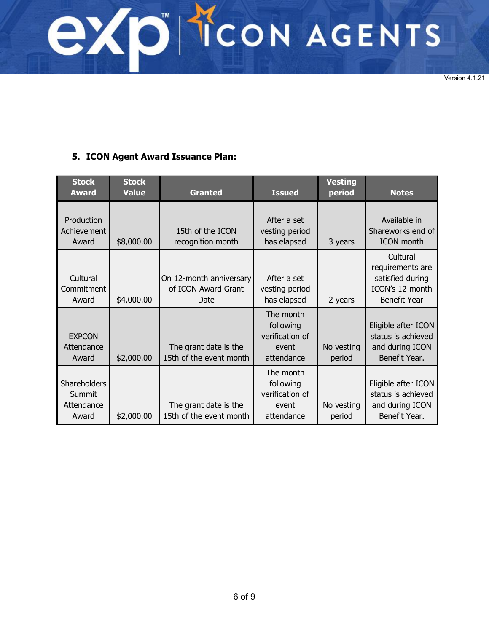<span id="page-5-0"></span>**EXPITCON AGENTS** 

Version 4.1.21

#### **5. ICON Agent Award Issuance Plan:**

| <b>Stock</b><br><b>Award</b>                  | <b>Stock</b><br><b>Value</b> | <b>Granted</b>                                         | <b>Issued</b>                                                    | <b>Vesting</b><br>period | <b>Notes</b>                                                                               |
|-----------------------------------------------|------------------------------|--------------------------------------------------------|------------------------------------------------------------------|--------------------------|--------------------------------------------------------------------------------------------|
| Production<br>Achievement<br>Award            | \$8,000.00                   | 15th of the ICON<br>recognition month                  | After a set<br>vesting period<br>has elapsed                     | 3 years                  | Available in<br>Shareworks end of<br><b>ICON</b> month                                     |
| Cultural<br>Commitment<br>Award               | \$4,000.00                   | On 12-month anniversary<br>of ICON Award Grant<br>Date | After a set<br>vesting period<br>has elapsed                     | 2 years                  | Cultural<br>requirements are<br>satisfied during<br>ICON's 12-month<br><b>Benefit Year</b> |
| <b>EXPCON</b><br>Attendance<br>Award          | \$2,000.00                   | The grant date is the<br>15th of the event month       | The month<br>following<br>verification of<br>event<br>attendance | No vesting<br>period     | Eligible after ICON<br>status is achieved<br>and during ICON<br>Benefit Year.              |
| Shareholders<br>Summit<br>Attendance<br>Award | \$2,000.00                   | The grant date is the<br>15th of the event month       | The month<br>following<br>verification of<br>event<br>attendance | No vesting<br>period     | Eligible after ICON<br>status is achieved<br>and during ICON<br>Benefit Year.              |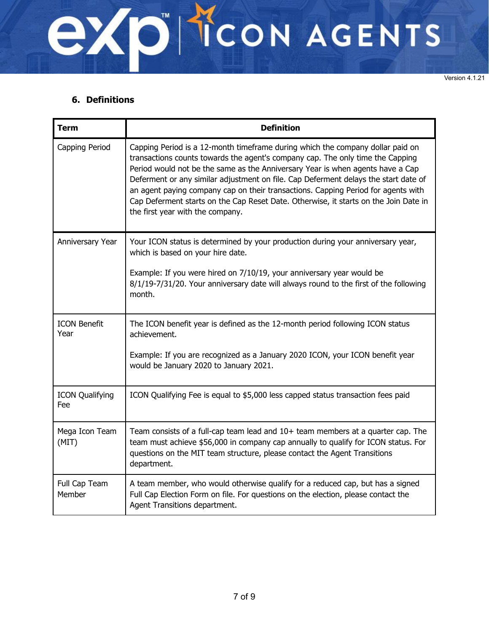<span id="page-6-0"></span>

Version 4.1.21

#### **6. Definitions**

| <b>Term</b>                   | <b>Definition</b>                                                                                                                                                                                                                                                                                                                                                                                                                                                                                                                                          |
|-------------------------------|------------------------------------------------------------------------------------------------------------------------------------------------------------------------------------------------------------------------------------------------------------------------------------------------------------------------------------------------------------------------------------------------------------------------------------------------------------------------------------------------------------------------------------------------------------|
| Capping Period                | Capping Period is a 12-month timeframe during which the company dollar paid on<br>transactions counts towards the agent's company cap. The only time the Capping<br>Period would not be the same as the Anniversary Year is when agents have a Cap<br>Deferment or any similar adjustment on file. Cap Deferment delays the start date of<br>an agent paying company cap on their transactions. Capping Period for agents with<br>Cap Deferment starts on the Cap Reset Date. Otherwise, it starts on the Join Date in<br>the first year with the company. |
| Anniversary Year              | Your ICON status is determined by your production during your anniversary year,<br>which is based on your hire date.<br>Example: If you were hired on 7/10/19, your anniversary year would be<br>8/1/19-7/31/20. Your anniversary date will always round to the first of the following<br>month.                                                                                                                                                                                                                                                           |
| <b>ICON Benefit</b><br>Year   | The ICON benefit year is defined as the 12-month period following ICON status<br>achievement.<br>Example: If you are recognized as a January 2020 ICON, your ICON benefit year<br>would be January 2020 to January 2021.                                                                                                                                                                                                                                                                                                                                   |
| <b>ICON Qualifying</b><br>Fee | ICON Qualifying Fee is equal to \$5,000 less capped status transaction fees paid                                                                                                                                                                                                                                                                                                                                                                                                                                                                           |
| Mega Icon Team<br>(MIT)       | Team consists of a full-cap team lead and 10+ team members at a quarter cap. The<br>team must achieve \$56,000 in company cap annually to qualify for ICON status. For<br>questions on the MIT team structure, please contact the Agent Transitions<br>department.                                                                                                                                                                                                                                                                                         |
| Full Cap Team<br>Member       | A team member, who would otherwise qualify for a reduced cap, but has a signed<br>Full Cap Election Form on file. For questions on the election, please contact the<br>Agent Transitions department.                                                                                                                                                                                                                                                                                                                                                       |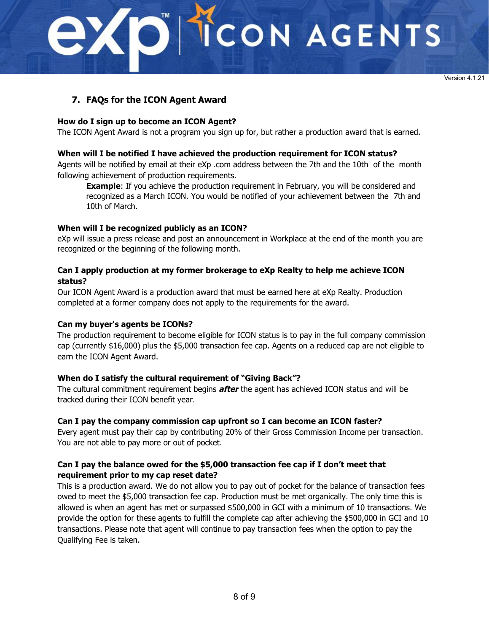## <span id="page-7-0"></span>CON AGENTS

#### **7. FAQs for the ICON Agent Award**

#### **How do I sign up to become an ICON Agent?**

The ICON Agent Award is not a program you sign up for, but rather a production award that is earned.

#### **When will I be notified I have achieved the production requirement for ICON status?**

Agents will be notified by email at their eXp .com address between the 7th and the 10th of the month following achievement of production requirements.

**Example**: If you achieve the production requirement in February, you will be considered and recognized as a March ICON. You would be notified of your achievement between the 7th and 10th of March.

#### **When will I be recognized publicly as an ICON?**

eXp will issue a press release and post an announcement in Workplace at the end of the month you are recognized or the beginning of the following month.

#### **Can I apply production at my former brokerage to eXp Realty to help me achieve ICON status?**

Our ICON Agent Award is a production award that must be earned here at eXp Realty. Production completed at a former company does not apply to the requirements for the award.

#### **Can my buyer's agents be ICONs?**

The production requirement to become eligible for ICON status is to pay in the full company commission cap (currently \$16,000) plus the \$5,000 transaction fee cap. Agents on a reduced cap are not eligible to earn the ICON Agent Award.

#### **When do I satisfy the cultural requirement of "Giving Back"?**

The cultural commitment requirement begins **after** the agent has achieved ICON status and will be tracked during their ICON benefit year.

#### **Can I pay the company commission cap upfront so I can become an ICON faster?**

Every agent must pay their cap by contributing 20% of their Gross Commission Income per transaction. You are not able to pay more or out of pocket.

#### **Can I pay the balance owed for the \$5,000 transaction fee cap if I don't meet that requirement prior to my cap reset date?**

This is a production award. We do not allow you to pay out of pocket for the balance of transaction fees owed to meet the \$5,000 transaction fee cap. Production must be met organically. The only time this is allowed is when an agent has met or surpassed \$500,000 in GCI with a minimum of 10 transactions. We provide the option for these agents to fulfill the complete cap after achieving the \$500,000 in GCI and 10 transactions. Please note that agent will continue to pay transaction fees when the option to pay the Qualifying Fee is taken.